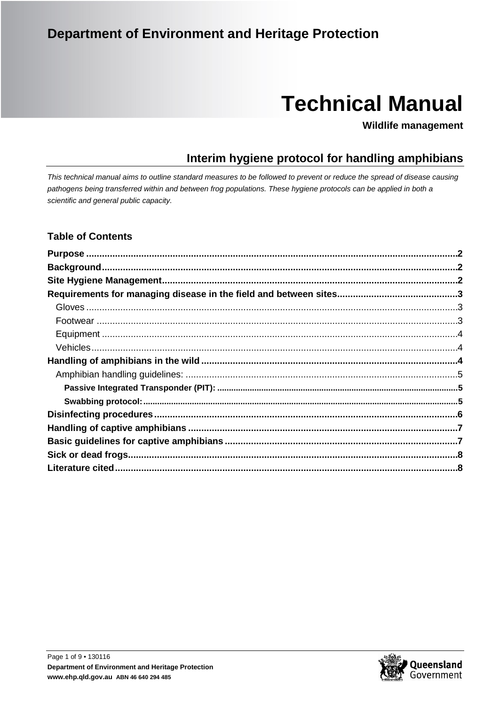# **Department of Environment and Heritage Protection**

# **Technical Manual**

**Wildlife management** 

# Interim hygiene protocol for handling amphibians

This technical manual aims to outline standard measures to be followed to prevent or reduce the spread of disease causing pathogens being transferred within and between frog populations. These hygiene protocols can be applied in both a scientific and general public capacity.

# **Table of Contents**

<span id="page-0-0"></span>

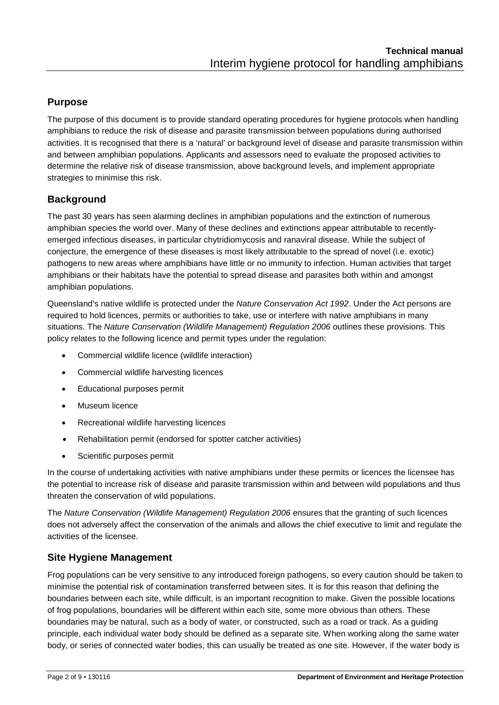# **Purpose**

The purpose of this document is to provide standard operating procedures for hygiene protocols when handling amphibians to reduce the risk of disease and parasite transmission between populations during authorised activities. It is recognised that there is a 'natural' or background level of disease and parasite transmission within and between amphibian populations. Applicants and assessors need to evaluate the proposed activities to determine the relative risk of disease transmission, above background levels, and implement appropriate strategies to minimise this risk.

# <span id="page-1-0"></span>**Background**

The past 30 years has seen alarming declines in amphibian populations and the extinction of numerous amphibian species the world over. Many of these declines and extinctions appear attributable to recentlyemerged infectious diseases, in particular chytridiomycosis and ranaviral disease. While the subject of conjecture, the emergence of these diseases is most likely attributable to the spread of novel (i.e. exotic) pathogens to new areas where amphibians have little or no immunity to infection. Human activities that target amphibians or their habitats have the potential to spread disease and parasites both within and amongst amphibian populations.

Queensland's native wildlife is protected under the *Nature Conservation Act 1992*. Under the Act persons are required to hold licences, permits or authorities to take, use or interfere with native amphibians in many situations. The *Nature Conservation (Wildlife Management) Regulation 2006* outlines these provisions. This policy relates to the following licence and permit types under the regulation:

- Commercial wildlife licence (wildlife interaction)
- Commercial wildlife harvesting licences
- Educational purposes permit
- Museum licence
- Recreational wildlife harvesting licences
- Rehabilitation permit (endorsed for spotter catcher activities)
- Scientific purposes permit

In the course of undertaking activities with native amphibians under these permits or licences the licensee has the potential to increase risk of disease and parasite transmission within and between wild populations and thus threaten the conservation of wild populations.

The *Nature Conservation (Wildlife Management) Regulation 2006* ensures that the granting of such licences does not adversely affect the conservation of the animals and allows the chief executive to limit and regulate the activities of the licensee.

# <span id="page-1-1"></span>**Site Hygiene Management**

Frog populations can be very sensitive to any introduced foreign pathogens, so every caution should be taken to minimise the potential risk of contamination transferred between sites. It is for this reason that defining the boundaries between each site, while difficult, is an important recognition to make. Given the possible locations of frog populations, boundaries will be different within each site, some more obvious than others. These boundaries may be natural, such as a body of water, or constructed, such as a road or track. As a guiding principle, each individual water body should be defined as a separate site. When working along the same water body, or series of connected water bodies, this can usually be treated as one site. However, if the water body is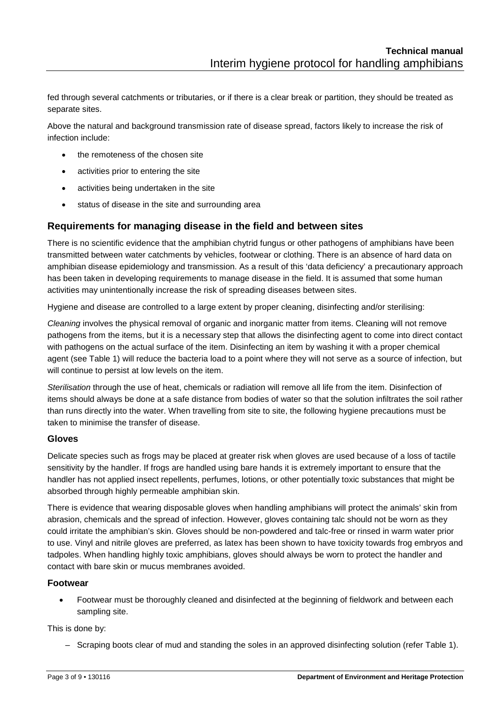fed through several catchments or tributaries, or if there is a clear break or partition, they should be treated as separate sites.

Above the natural and background transmission rate of disease spread, factors likely to increase the risk of infection include:

- the remoteness of the chosen site
- activities prior to entering the site
- activities being undertaken in the site
- status of disease in the site and surrounding area

#### <span id="page-2-0"></span>**Requirements for managing disease in the field and between sites**

There is no scientific evidence that the amphibian chytrid fungus or other pathogens of amphibians have been transmitted between water catchments by vehicles, footwear or clothing. There is an absence of hard data on amphibian disease epidemiology and transmission. As a result of this 'data deficiency' a precautionary approach has been taken in developing requirements to manage disease in the field. It is assumed that some human activities may unintentionally increase the risk of spreading diseases between sites.

Hygiene and disease are controlled to a large extent by proper cleaning, disinfecting and/or sterilising:

*Cleaning* involves the physical removal of organic and inorganic matter from items. Cleaning will not remove pathogens from the items, but it is a necessary step that allows the disinfecting agent to come into direct contact with pathogens on the actual surface of the item. Disinfecting an item by washing it with a proper chemical agent (see Table 1) will reduce the bacteria load to a point where they will not serve as a source of infection, but will continue to persist at low levels on the item.

*Sterilisation* through the use of heat, chemicals or radiation will remove all life from the item. Disinfection of items should always be done at a safe distance from bodies of water so that the solution infiltrates the soil rather than runs directly into the water. When travelling from site to site, the following hygiene precautions must be taken to minimise the transfer of disease.

#### <span id="page-2-1"></span>**Gloves**

Delicate species such as frogs may be placed at greater risk when gloves are used because of a loss of tactile sensitivity by the handler. If frogs are handled using bare hands it is extremely important to ensure that the handler has not applied insect repellents, perfumes, lotions, or other potentially toxic substances that might be absorbed through highly permeable amphibian skin.

There is evidence that wearing disposable gloves when handling amphibians will protect the animals' skin from abrasion, chemicals and the spread of infection. However, gloves containing talc should not be worn as they could irritate the amphibian's skin. Gloves should be non-powdered and talc-free or rinsed in warm water prior to use. Vinyl and nitrile gloves are preferred, as latex has been shown to have toxicity towards frog embryos and tadpoles. When handling highly toxic amphibians, gloves should always be worn to protect the handler and contact with bare skin or mucus membranes avoided.

#### <span id="page-2-2"></span>**Footwear**

• Footwear must be thoroughly cleaned and disinfected at the beginning of fieldwork and between each sampling site.

This is done by:

– Scraping boots clear of mud and standing the soles in an approved disinfecting solution (refer Table 1).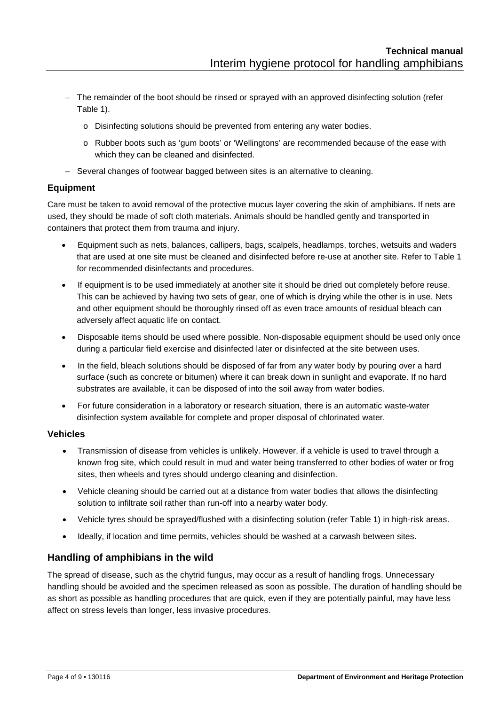- The remainder of the boot should be rinsed or sprayed with an approved disinfecting solution (refer Table 1).
	- o Disinfecting solutions should be prevented from entering any water bodies.
	- o Rubber boots such as 'gum boots' or 'Wellingtons' are recommended because of the ease with which they can be cleaned and disinfected.
- Several changes of footwear bagged between sites is an alternative to cleaning.

#### <span id="page-3-0"></span>**Equipment**

Care must be taken to avoid removal of the protective mucus layer covering the skin of amphibians. If nets are used, they should be made of soft cloth materials. Animals should be handled gently and transported in containers that protect them from trauma and injury.

- Equipment such as nets, balances, callipers, bags, scalpels, headlamps, torches, wetsuits and waders that are used at one site must be cleaned and disinfected before re-use at another site. Refer to Table 1 for recommended disinfectants and procedures.
- If equipment is to be used immediately at another site it should be dried out completely before reuse. This can be achieved by having two sets of gear, one of which is drying while the other is in use. Nets and other equipment should be thoroughly rinsed off as even trace amounts of residual bleach can adversely affect aquatic life on contact.
- Disposable items should be used where possible. Non-disposable equipment should be used only once during a particular field exercise and disinfected later or disinfected at the site between uses.
- In the field, bleach solutions should be disposed of far from any water body by pouring over a hard surface (such as concrete or bitumen) where it can break down in sunlight and evaporate. If no hard substrates are available, it can be disposed of into the soil away from water bodies.
- For future consideration in a laboratory or research situation, there is an automatic waste-water disinfection system available for complete and proper disposal of chlorinated water.

#### <span id="page-3-1"></span>**Vehicles**

- Transmission of disease from vehicles is unlikely. However, if a vehicle is used to travel through a known frog site, which could result in mud and water being transferred to other bodies of water or frog sites, then wheels and tyres should undergo cleaning and disinfection.
- Vehicle cleaning should be carried out at a distance from water bodies that allows the disinfecting solution to infiltrate soil rather than run-off into a nearby water body.
- Vehicle tyres should be sprayed/flushed with a disinfecting solution (refer Table 1) in high-risk areas.
- Ideally, if location and time permits, vehicles should be washed at a carwash between sites.

# <span id="page-3-2"></span>**Handling of amphibians in the wild**

The spread of disease, such as the chytrid fungus, may occur as a result of handling frogs. Unnecessary handling should be avoided and the specimen released as soon as possible. The duration of handling should be as short as possible as handling procedures that are quick, even if they are potentially painful, may have less affect on stress levels than longer, less invasive procedures.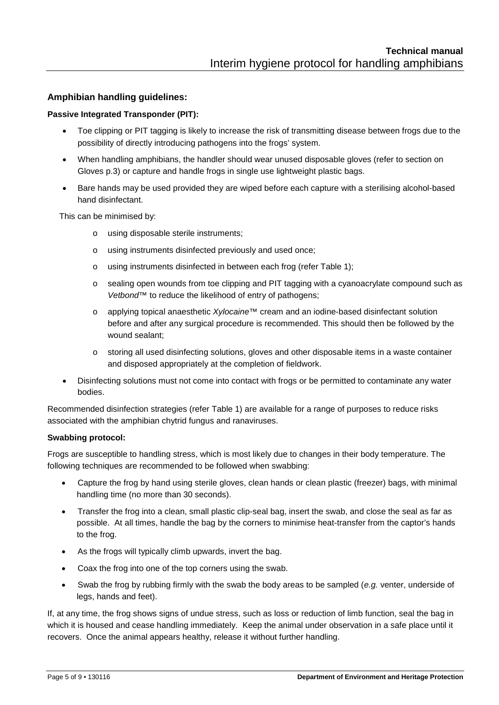#### <span id="page-4-0"></span>**Amphibian handling guidelines:**

#### <span id="page-4-1"></span>**Passive Integrated Transponder (PIT):**

- Toe clipping or PIT tagging is likely to increase the risk of transmitting disease between frogs due to the possibility of directly introducing pathogens into the frogs' system.
- When handling amphibians, the handler should wear unused disposable gloves (refer to section on Gloves p.3) or capture and handle frogs in single use lightweight plastic bags.
- Bare hands may be used provided they are wiped before each capture with a sterilising alcohol-based hand disinfectant.

This can be minimised by:

- o using disposable sterile instruments;
- o using instruments disinfected previously and used once;
- o using instruments disinfected in between each frog (refer Table 1);
- o sealing open wounds from toe clipping and PIT tagging with a cyanoacrylate compound such as *Vetbond™* to reduce the likelihood of entry of pathogens;
- o applying topical anaesthetic *Xylocaine™* cream and an iodine-based disinfectant solution before and after any surgical procedure is recommended. This should then be followed by the wound sealant;
- o storing all used disinfecting solutions, gloves and other disposable items in a waste container and disposed appropriately at the completion of fieldwork.
- Disinfecting solutions must not come into contact with frogs or be permitted to contaminate any water bodies.

Recommended disinfection strategies (refer Table 1) are available for a range of purposes to reduce risks associated with the amphibian chytrid fungus and ranaviruses.

#### <span id="page-4-2"></span>**Swabbing protocol:**

Frogs are susceptible to handling stress, which is most likely due to changes in their body temperature. The following techniques are recommended to be followed when swabbing:

- Capture the frog by hand using sterile gloves, clean hands or clean plastic (freezer) bags, with minimal handling time (no more than 30 seconds).
- Transfer the frog into a clean, small plastic clip-seal bag, insert the swab, and close the seal as far as possible. At all times, handle the bag by the corners to minimise heat-transfer from the captor's hands to the frog.
- As the frogs will typically climb upwards, invert the bag.
- Coax the frog into one of the top corners using the swab.
- Swab the frog by rubbing firmly with the swab the body areas to be sampled (*e.g.* venter, underside of legs, hands and feet).

If, at any time, the frog shows signs of undue stress, such as loss or reduction of limb function, seal the bag in which it is housed and cease handling immediately. Keep the animal under observation in a safe place until it recovers. Once the animal appears healthy, release it without further handling.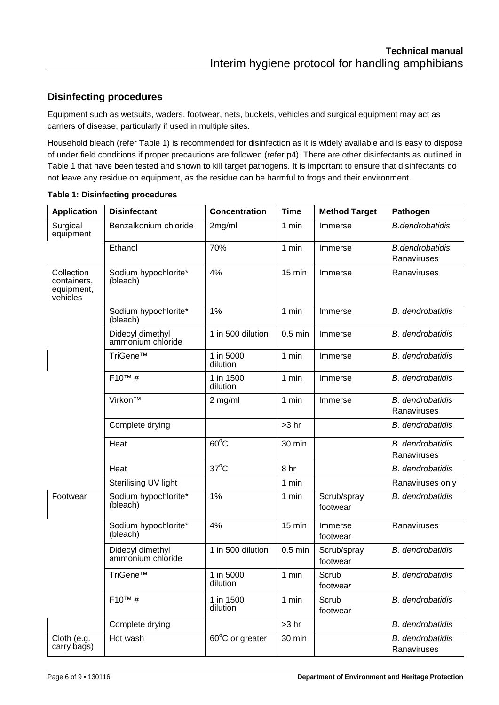# <span id="page-5-0"></span>**Disinfecting procedures**

Equipment such as wetsuits, waders, footwear, nets, buckets, vehicles and surgical equipment may act as carriers of disease, particularly if used in multiple sites.

Household bleach (refer Table 1) is recommended for disinfection as it is widely available and is easy to dispose of under field conditions if proper precautions are followed (refer p4). There are other disinfectants as outlined in Table 1 that have been tested and shown to kill target pathogens. It is important to ensure that disinfectants do not leave any residue on equipment, as the residue can be harmful to frogs and their environment.

| <b>Application</b>                                  | <b>Disinfectant</b>                   | <b>Concentration</b>  | <b>Time</b>      | <b>Method Target</b>    | <b>Pathogen</b>                        |
|-----------------------------------------------------|---------------------------------------|-----------------------|------------------|-------------------------|----------------------------------------|
| Surgical<br>equipment                               | Benzalkonium chloride                 | 2mg/ml                | 1 min            | Immerse                 | <b>B.dendrobatidis</b>                 |
|                                                     | Ethanol                               | 70%                   | 1 min            | Immerse                 | <b>B.dendrobatidis</b><br>Ranaviruses  |
| Collection<br>containers,<br>equipment,<br>vehicles | Sodium hypochlorite*<br>(bleach)      | 4%                    | $15 \text{ min}$ | Immerse                 | Ranaviruses                            |
|                                                     | Sodium hypochlorite*<br>(bleach)      | 1%                    | 1 min            | Immerse                 | <b>B.</b> dendrobatidis                |
|                                                     | Didecyl dimethyl<br>ammonium chloride | 1 in 500 dilution     | $0.5$ min        | Immerse                 | <b>B.</b> dendrobatidis                |
|                                                     | TriGene™                              | 1 in 5000<br>dilution | 1 min            | Immerse                 | <b>B.</b> dendrobatidis                |
|                                                     | $F10^{TM}$ #                          | 1 in 1500<br>dilution | 1 min            | Immerse                 | <b>B.</b> dendrobatidis                |
|                                                     | Virkon™                               | $2$ mg/ml             | 1 min            | Immerse                 | <b>B.</b> dendrobatidis<br>Ranaviruses |
|                                                     | Complete drying                       |                       | $>3$ hr          |                         | <b>B.</b> dendrobatidis                |
|                                                     | Heat                                  | $60^{\circ}$ C        | 30 min           |                         | <b>B.</b> dendrobatidis<br>Ranaviruses |
|                                                     | Heat                                  | $37^{\circ}$ C        | 8 hr             |                         | <b>B.</b> dendrobatidis                |
|                                                     | Sterilising UV light                  |                       | 1 min            |                         | Ranaviruses only                       |
| Footwear                                            | Sodium hypochlorite*<br>(bleach)      | 1%                    | 1 min            | Scrub/spray<br>footwear | <b>B.</b> dendrobatidis                |
|                                                     | Sodium hypochlorite*<br>(bleach)      | 4%                    | $15 \text{ min}$ | Immerse<br>footwear     | Ranaviruses                            |
|                                                     | Didecyl dimethyl<br>ammonium chloride | 1 in 500 dilution     | $0.5$ min        | Scrub/spray<br>footwear | <b>B.</b> dendrobatidis                |
|                                                     | TriGene™                              | 1 in 5000<br>dilution | 1 min            | Scrub<br>footwear       | <b>B.</b> dendrobatidis                |
|                                                     | $F10^{TM}$ #                          | 1 in 1500<br>dilution | 1 min            | Scrub<br>footwear       | <b>B.</b> dendrobatidis                |
|                                                     | Complete drying                       |                       | $>3$ hr          |                         | B. dendrobatidis                       |
| Cloth (e.g.<br>carry bags)                          | Hot wash                              | 60°C or greater       | 30 min           |                         | <b>B.</b> dendrobatidis<br>Ranaviruses |

**Table 1: Disinfecting procedures**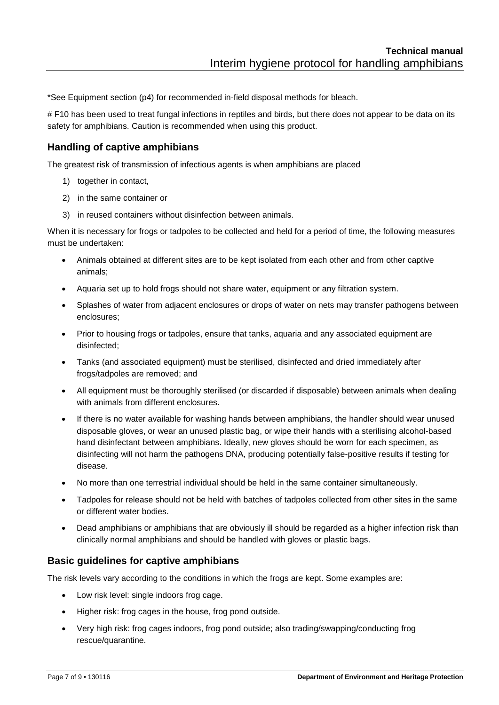\*See Equipment section (p4) for recommended in-field disposal methods for bleach.

# F10 has been used to treat fungal infections in reptiles and birds, but there does not appear to be data on its safety for amphibians. Caution is recommended when using this product.

# <span id="page-6-0"></span>**Handling of captive amphibians**

The greatest risk of transmission of infectious agents is when amphibians are placed

- 1) together in contact,
- 2) in the same container or
- 3) in reused containers without disinfection between animals.

When it is necessary for frogs or tadpoles to be collected and held for a period of time, the following measures must be undertaken:

- Animals obtained at different sites are to be kept isolated from each other and from other captive animals;
- Aquaria set up to hold frogs should not share water, equipment or any filtration system.
- Splashes of water from adjacent enclosures or drops of water on nets may transfer pathogens between enclosures;
- Prior to housing frogs or tadpoles, ensure that tanks, aquaria and any associated equipment are disinfected;
- Tanks (and associated equipment) must be sterilised, disinfected and dried immediately after frogs/tadpoles are removed; and
- All equipment must be thoroughly sterilised (or discarded if disposable) between animals when dealing with animals from different enclosures.
- If there is no water available for washing hands between amphibians, the handler should wear unused disposable gloves, or wear an unused plastic bag, or wipe their hands with a sterilising alcohol-based hand disinfectant between amphibians. Ideally, new gloves should be worn for each specimen, as disinfecting will not harm the pathogens DNA, producing potentially false-positive results if testing for disease.
- No more than one terrestrial individual should be held in the same container simultaneously.
- Tadpoles for release should not be held with batches of tadpoles collected from other sites in the same or different water bodies.
- Dead amphibians or amphibians that are obviously ill should be regarded as a higher infection risk than clinically normal amphibians and should be handled with gloves or plastic bags.

# <span id="page-6-1"></span>**Basic guidelines for captive amphibians**

The risk levels vary according to the conditions in which the frogs are kept. Some examples are:

- Low risk level: single indoors frog cage.
- Higher risk: frog cages in the house, frog pond outside.
- Very high risk: frog cages indoors, frog pond outside; also trading/swapping/conducting frog rescue/quarantine.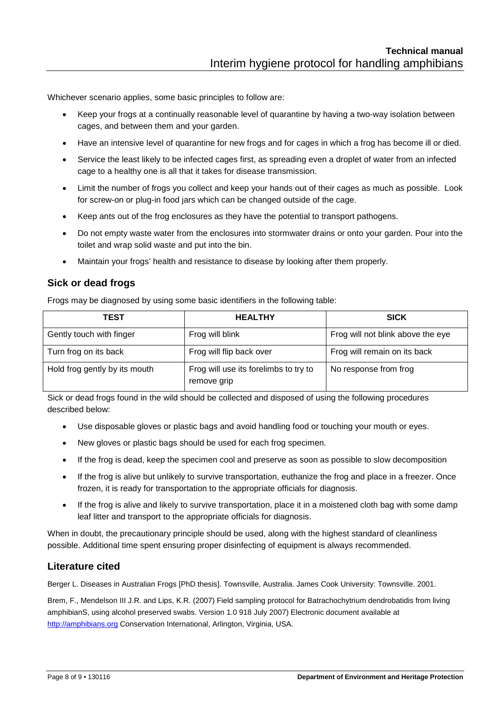Whichever scenario applies, some basic principles to follow are:

- Keep your frogs at a continually reasonable level of quarantine by having a two-way isolation between cages, and between them and your garden.
- Have an intensive level of quarantine for new frogs and for cages in which a frog has become ill or died.
- Service the least likely to be infected cages first, as spreading even a droplet of water from an infected cage to a healthy one is all that it takes for disease transmission.
- Limit the number of frogs you collect and keep your hands out of their cages as much as possible. Look for screw-on or plug-in food jars which can be changed outside of the cage.
- Keep ants out of the frog enclosures as they have the potential to transport pathogens.
- Do not empty waste water from the enclosures into stormwater drains or onto your garden. Pour into the toilet and wrap solid waste and put into the bin.
- Maintain your frogs' health and resistance to disease by looking after them properly.

#### <span id="page-7-0"></span>**Sick or dead frogs**

Frogs may be diagnosed by using some basic identifiers in the following table:

| TEST                          | <b>HEALTHY</b>                                       | <b>SICK</b>                       |
|-------------------------------|------------------------------------------------------|-----------------------------------|
| Gently touch with finger      | Frog will blink                                      | Frog will not blink above the eye |
| Turn frog on its back         | Frog will flip back over                             | Frog will remain on its back      |
| Hold frog gently by its mouth | Frog will use its forelimbs to try to<br>remove grip | No response from frog             |

Sick or dead frogs found in the wild should be collected and disposed of using the following procedures described below:

- Use disposable gloves or plastic bags and avoid handling food or touching your mouth or eyes.
- New gloves or plastic bags should be used for each frog specimen.
- If the frog is dead, keep the specimen cool and preserve as soon as possible to slow decomposition
- If the frog is alive but unlikely to survive transportation, euthanize the frog and place in a freezer. Once frozen, it is ready for transportation to the appropriate officials for diagnosis.
- If the frog is alive and likely to survive transportation, place it in a moistened cloth bag with some damp leaf litter and transport to the appropriate officials for diagnosis.

When in doubt, the precautionary principle should be used, along with the highest standard of cleanliness possible. Additional time spent ensuring proper disinfecting of equipment is always recommended.

#### <span id="page-7-1"></span>**Literature cited**

Berger L. Diseases in Australian Frogs [PhD thesis]. Townsville, Australia. James Cook University: Townsville. 2001.

Brem, F., Mendelson III J.R. and Lips, K.R. (2007) Field sampling protocol for Batrachochytrium dendrobatidis from living amphibianS, using alcohol preserved swabs. Version 1.0 918 July 2007) Electronic document available at [http://amphibians.org](http://amphibians.org/) Conservation International, Arlington, Virginia, USA.